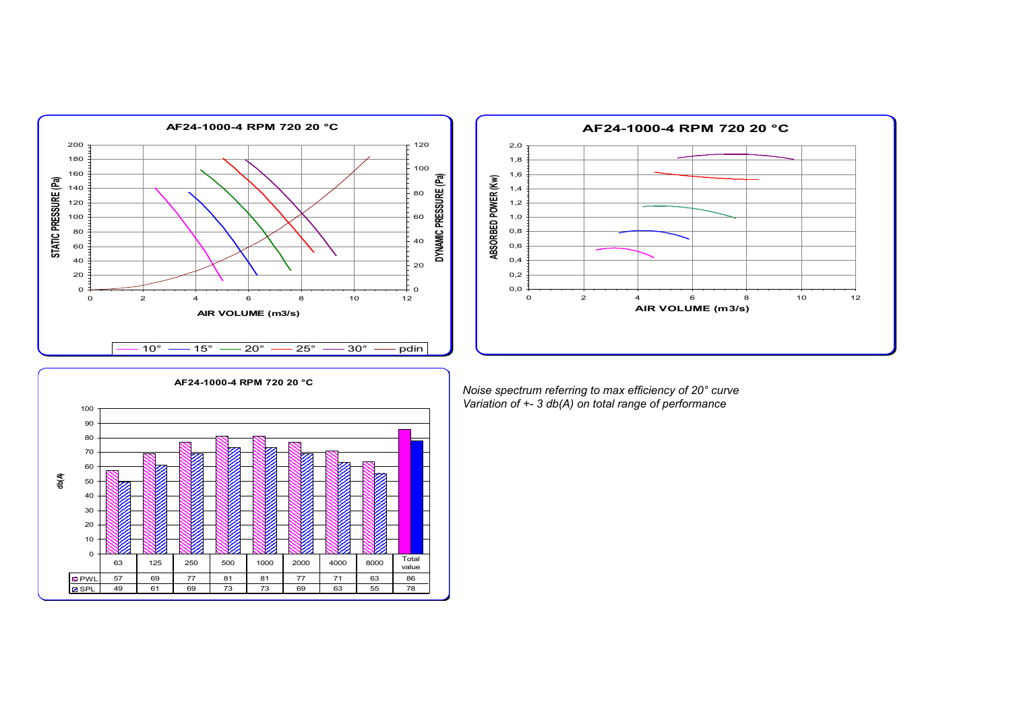



**AF24-1000-4 RPM 720 20 °C** 0 10 20 30 40 50 60 70 80 90 100 PWL 57 69 77 81 81 77 71 63 86 SPL 49 61 69 73 73 69 63 55 78 63 | 125 | 250 | 500 | 1000 | 2000 | 4000 | 8000 | Total value

**db(A)**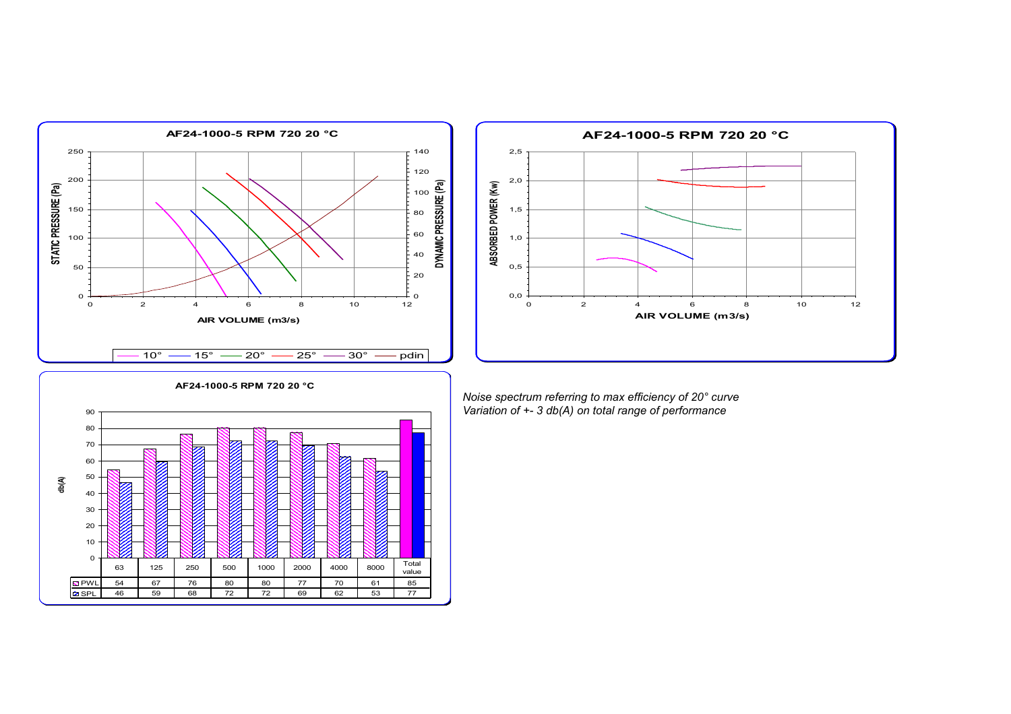



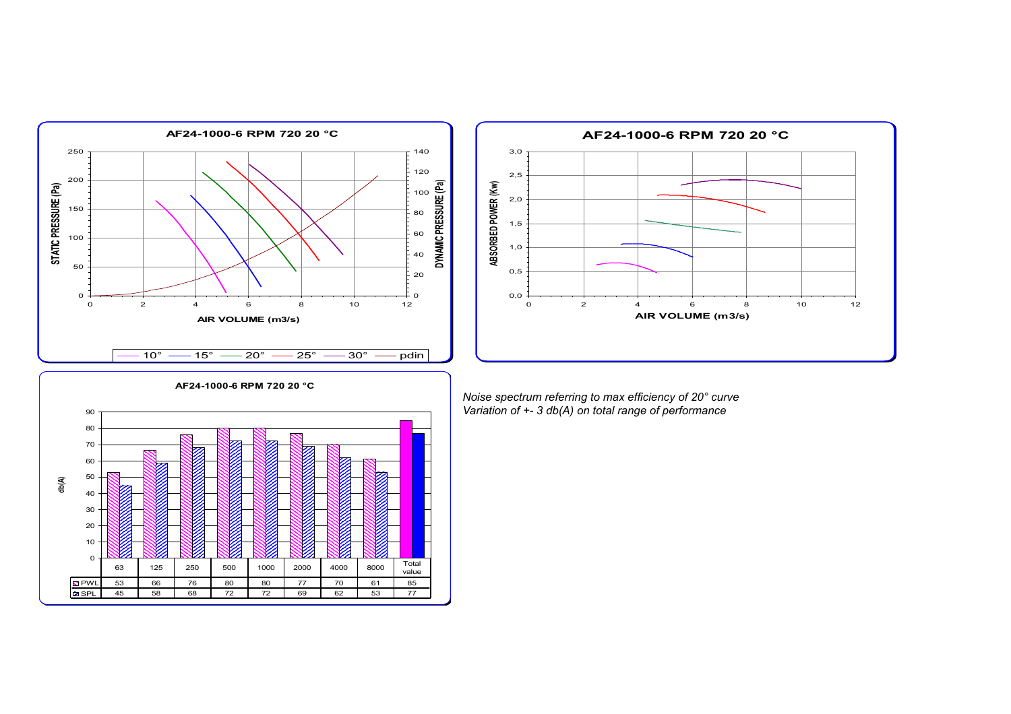